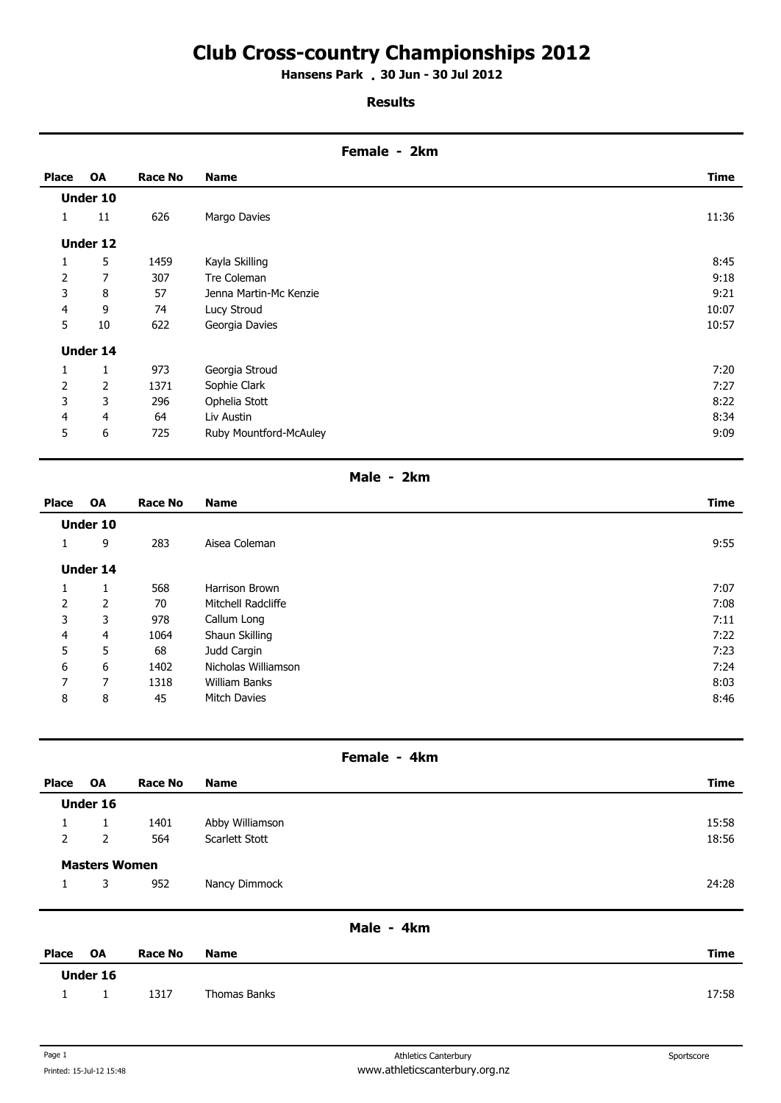# **Club Cross-country Championships 2012**

**Hansens Park 30 Jun - 30 Jul 2012 .** 

### **Results**

### **Female - 2km**

| <b>Place</b>   | <b>OA</b>       | Race No | <b>Name</b>            | Time  |
|----------------|-----------------|---------|------------------------|-------|
|                | <b>Under 10</b> |         |                        |       |
| 1              | 11              | 626     | Margo Davies           | 11:36 |
|                | Under 12        |         |                        |       |
| 1              | 5               | 1459    | Kayla Skilling         | 8:45  |
| $\overline{2}$ | 7               | 307     | Tre Coleman            | 9:18  |
| 3              | 8               | 57      | Jenna Martin-Mc Kenzie | 9:21  |
| 4              | 9               | 74      | Lucy Stroud            | 10:07 |
| 5              | 10              | 622     | Georgia Davies         | 10:57 |
|                | <b>Under 14</b> |         |                        |       |
| 1              | 1               | 973     | Georgia Stroud         | 7:20  |
| 2              | 2               | 1371    | Sophie Clark           | 7:27  |
| 3              | 3               | 296     | Ophelia Stott          | 8:22  |
| $\overline{4}$ | 4               | 64      | Liv Austin             | 8:34  |
| 5              | 6               | 725     | Ruby Mountford-McAuley | 9:09  |

## **Male - 2km**

| <b>Place</b>   | <b>OA</b>       | Race No | <b>Name</b>         | <b>Time</b> |
|----------------|-----------------|---------|---------------------|-------------|
|                | Under 10        |         |                     |             |
| 1              | 9               | 283     | Aisea Coleman       | 9:55        |
|                | <b>Under 14</b> |         |                     |             |
| 1              | 1               | 568     | Harrison Brown      | 7:07        |
| $\overline{2}$ | 2               | 70      | Mitchell Radcliffe  | 7:08        |
| 3              | 3               | 978     | Callum Long         | 7:11        |
| 4              | 4               | 1064    | Shaun Skilling      | 7:22        |
| 5              | 5               | 68      | Judd Cargin         | 7:23        |
| 6              | 6               | 1402    | Nicholas Williamson | 7:24        |
| 7              | 7               | 1318    | William Banks       | 8:03        |
| 8              | 8               | 45      | <b>Mitch Davies</b> | 8:46        |

### **Female - 4km**

| Place                | <b>OA</b>      | <b>Race No</b> | <b>Name</b>     | <b>Time</b> |  |
|----------------------|----------------|----------------|-----------------|-------------|--|
| <b>Under 16</b>      |                |                |                 |             |  |
|                      |                | 1401           | Abby Williamson | 15:58       |  |
| $\overline{2}$       | $\overline{2}$ | 564            | Scarlett Stott  | 18:56       |  |
| <b>Masters Women</b> |                |                |                 |             |  |
| 1                    | 3              | 952            | Nancy Dimmock   | 24:28       |  |
|                      |                |                |                 |             |  |
|                      | Male - 4km     |                |                 |             |  |

| Place | OA       | Race No | <b>Name</b>  | <b>Time</b> |
|-------|----------|---------|--------------|-------------|
|       | Under 16 |         |              |             |
|       |          | 1317    | Thomas Banks | 17:58       |